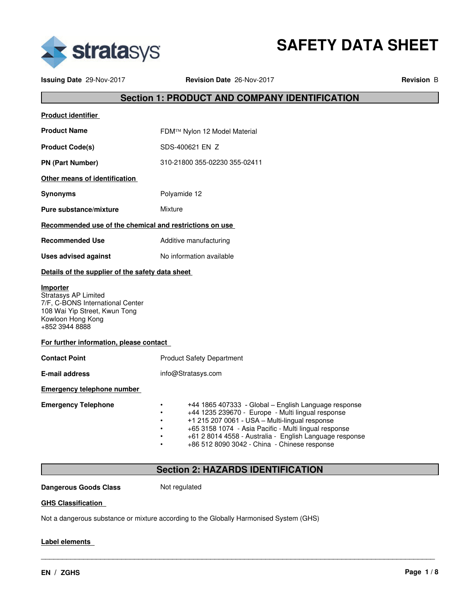

**SAFETY DATA SHEET**

**Issuing Date** 29-Nov-2017 **Revision Date** 26-Nov-2017 **Revision** B

# **Section 1: PRODUCT AND COMPANY IDENTIFICATION**

| <b>Product identifier</b>                                                                                                                           |                                                                                                                                                                                                                                                                                                                                 |
|-----------------------------------------------------------------------------------------------------------------------------------------------------|---------------------------------------------------------------------------------------------------------------------------------------------------------------------------------------------------------------------------------------------------------------------------------------------------------------------------------|
| <b>Product Name</b>                                                                                                                                 | FDM™ Nylon 12 Model Material                                                                                                                                                                                                                                                                                                    |
| <b>Product Code(s)</b>                                                                                                                              | SDS-400621 EN Z                                                                                                                                                                                                                                                                                                                 |
| <b>PN (Part Number)</b>                                                                                                                             | 310-21800 355-02230 355-02411                                                                                                                                                                                                                                                                                                   |
| Other means of identification                                                                                                                       |                                                                                                                                                                                                                                                                                                                                 |
| <b>Synonyms</b>                                                                                                                                     | Polyamide 12                                                                                                                                                                                                                                                                                                                    |
| Pure substance/mixture                                                                                                                              | Mixture                                                                                                                                                                                                                                                                                                                         |
| Recommended use of the chemical and restrictions on use                                                                                             |                                                                                                                                                                                                                                                                                                                                 |
| <b>Recommended Use</b>                                                                                                                              | Additive manufacturing                                                                                                                                                                                                                                                                                                          |
| No information available<br><b>Uses advised against</b>                                                                                             |                                                                                                                                                                                                                                                                                                                                 |
| Details of the supplier of the safety data sheet                                                                                                    |                                                                                                                                                                                                                                                                                                                                 |
| Importer<br><b>Stratasys AP Limited</b><br>7/F, C-BONS International Center<br>108 Wai Yip Street, Kwun Tong<br>Kowloon Hong Kong<br>+852 3944 8888 |                                                                                                                                                                                                                                                                                                                                 |
| For further information, please contact                                                                                                             |                                                                                                                                                                                                                                                                                                                                 |
| <b>Contact Point</b>                                                                                                                                | <b>Product Safety Department</b>                                                                                                                                                                                                                                                                                                |
| <b>E-mail address</b>                                                                                                                               | info@Stratasys.com                                                                                                                                                                                                                                                                                                              |
| <b>Emergency telephone number</b>                                                                                                                   |                                                                                                                                                                                                                                                                                                                                 |
| <b>Emergency Telephone</b>                                                                                                                          | +44 1865 407333 - Global – English Language response<br>+44 1235 239670 - Europe - Multi lingual response<br>+1 215 207 0061 - USA - Multi-lingual response<br>+65 3158 1074 - Asia Pacific - Multi lingual response<br>+61 2 8014 4558 - Australia - English Language response<br>+86 512 8090 3042 - China - Chinese response |

# **Section 2: HAZARDS IDENTIFICATION**

\_\_\_\_\_\_\_\_\_\_\_\_\_\_\_\_\_\_\_\_\_\_\_\_\_\_\_\_\_\_\_\_\_\_\_\_\_\_\_\_\_\_\_\_\_\_\_\_\_\_\_\_\_\_\_\_\_\_\_\_\_\_\_\_\_\_\_\_\_\_\_\_\_\_\_\_\_\_\_\_\_\_\_\_\_\_\_\_\_\_\_\_\_

**Dangerous Goods Class** Not regulated

#### **GHS Classification**

Not a dangerous substance or mixture according to the Globally Harmonised System (GHS)

#### **Label elements**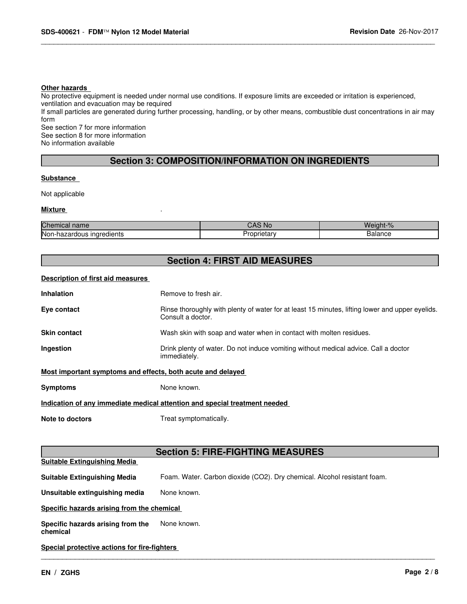#### **Other hazards**

No protective equipment is needed under normal use conditions. If exposure limits are exceeded or irritation is experienced,

ventilation and evacuation may be required

If small particles are generated during further processing, handling, or by other means, combustible dust concentrations in air may form

\_\_\_\_\_\_\_\_\_\_\_\_\_\_\_\_\_\_\_\_\_\_\_\_\_\_\_\_\_\_\_\_\_\_\_\_\_\_\_\_\_\_\_\_\_\_\_\_\_\_\_\_\_\_\_\_\_\_\_\_\_\_\_\_\_\_\_\_\_\_\_\_\_\_\_\_\_\_\_\_\_\_\_\_\_\_\_\_\_\_\_\_\_

See section 7 for more information See section 8 for more information No information available

# **Section 3: COMPOSITION/INFORMATION ON INGREDIENTS**

#### **Substance**

Not applicable

#### **Mixture** .

| Chemical name                      | AS Nc<br>$\overline{\phantom{a}}$ | eight.<br>70 |
|------------------------------------|-----------------------------------|--------------|
| Non-hazar<br>naredients :<br>.aous | .<br>oprietary                    | salance      |

# **Section 4: FIRST AID MEASURES**

#### **Description of first aid measures**

| <b>Inhalation</b>                                                          | Remove to fresh air.                                                                                                 |  |
|----------------------------------------------------------------------------|----------------------------------------------------------------------------------------------------------------------|--|
| Eye contact                                                                | Rinse thoroughly with plenty of water for at least 15 minutes, lifting lower and upper eyelids.<br>Consult a doctor. |  |
| Skin contact                                                               | Wash skin with soap and water when in contact with molten residues.                                                  |  |
| Ingestion                                                                  | Drink plenty of water. Do not induce vomiting without medical advice. Call a doctor<br>immediately.                  |  |
| Most important symptoms and effects, both acute and delayed                |                                                                                                                      |  |
| Symptoms                                                                   | None known.                                                                                                          |  |
| Indication of any immediate medical attention and special treatment needed |                                                                                                                      |  |
| <b>Note to doctors</b>                                                     | Treat symptomatically.                                                                                               |  |
|                                                                            |                                                                                                                      |  |
|                                                                            |                                                                                                                      |  |

# **Section 5: FIRE-FIGHTING MEASURES**

| <b>Suitable Extinguishing Media</b>           |                                                                          |  |
|-----------------------------------------------|--------------------------------------------------------------------------|--|
| <b>Suitable Extinguishing Media</b>           | Foam. Water. Carbon dioxide (CO2). Dry chemical. Alcohol resistant foam. |  |
| Unsuitable extinguishing media                | None known.                                                              |  |
| Specific hazards arising from the chemical    |                                                                          |  |
| Specific hazards arising from the<br>chemical | None known.                                                              |  |
| Special protective actions for fire-fighters  |                                                                          |  |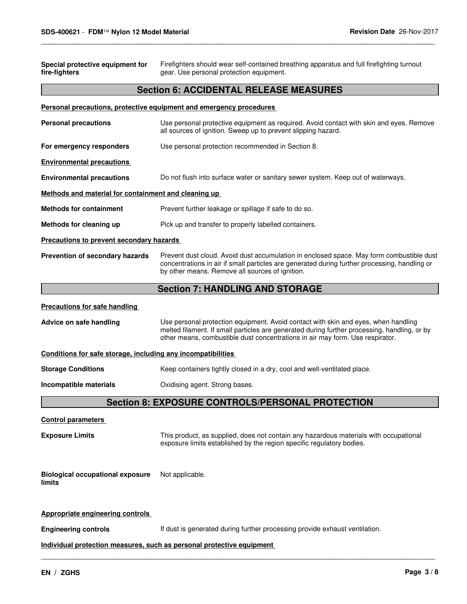| Special protective equipment for<br>fire-fighters                     | Firefighters should wear self-contained breathing apparatus and full firefighting turnout<br>gear. Use personal protection equipment.                                                                                                                               |  |
|-----------------------------------------------------------------------|---------------------------------------------------------------------------------------------------------------------------------------------------------------------------------------------------------------------------------------------------------------------|--|
|                                                                       | <b>Section 6: ACCIDENTAL RELEASE MEASURES</b>                                                                                                                                                                                                                       |  |
|                                                                       | Personal precautions, protective equipment and emergency procedures                                                                                                                                                                                                 |  |
| <b>Personal precautions</b>                                           | Use personal protective equipment as required. Avoid contact with skin and eyes. Remove<br>all sources of ignition. Sweep up to prevent slipping hazard.                                                                                                            |  |
| For emergency responders                                              | Use personal protection recommended in Section 8.                                                                                                                                                                                                                   |  |
| <b>Environmental precautions</b>                                      |                                                                                                                                                                                                                                                                     |  |
| <b>Environmental precautions</b>                                      | Do not flush into surface water or sanitary sewer system. Keep out of waterways.                                                                                                                                                                                    |  |
| Methods and material for containment and cleaning up                  |                                                                                                                                                                                                                                                                     |  |
| <b>Methods for containment</b>                                        | Prevent further leakage or spillage if safe to do so.                                                                                                                                                                                                               |  |
| Methods for cleaning up                                               | Pick up and transfer to properly labelled containers.                                                                                                                                                                                                               |  |
| Precautions to prevent secondary hazards                              |                                                                                                                                                                                                                                                                     |  |
| Prevention of secondary hazards                                       | Prevent dust cloud. Avoid dust accumulation in enclosed space. May form combustible dust<br>concentrations in air if small particles are generated during further processing, handling or<br>by other means. Remove all sources of ignition.                        |  |
|                                                                       | <b>Section 7: HANDLING AND STORAGE</b>                                                                                                                                                                                                                              |  |
| <b>Precautions for safe handling</b>                                  |                                                                                                                                                                                                                                                                     |  |
| Advice on safe handling                                               | Use personal protection equipment. Avoid contact with skin and eyes, when handling<br>melted filament. If small particles are generated during further processing, handling, or by<br>other means, combustible dust concentrations in air may form. Use respirator. |  |
| Conditions for safe storage, including any incompatibilities          |                                                                                                                                                                                                                                                                     |  |
| <b>Storage Conditions</b>                                             | Keep containers tightly closed in a dry, cool and well-ventilated place.                                                                                                                                                                                            |  |
| Incompatible materials                                                | Oxidising agent. Strong bases.                                                                                                                                                                                                                                      |  |
|                                                                       | <b>Section 8: EXPOSURE CONTROLS/PERSONAL PROTECTION</b>                                                                                                                                                                                                             |  |
| <b>Control parameters</b>                                             |                                                                                                                                                                                                                                                                     |  |
| <b>Exposure Limits</b>                                                | This product, as supplied, does not contain any hazardous materials with occupational<br>exposure limits established by the region specific regulatory bodies.                                                                                                      |  |
| <b>Biological occupational exposure</b><br>limits                     | Not applicable.                                                                                                                                                                                                                                                     |  |
| <b>Appropriate engineering controls</b>                               |                                                                                                                                                                                                                                                                     |  |
| <b>Engineering controls</b>                                           | If dust is generated during further processing provide exhaust ventilation.                                                                                                                                                                                         |  |
| Individual protection measures, such as personal protective equipment |                                                                                                                                                                                                                                                                     |  |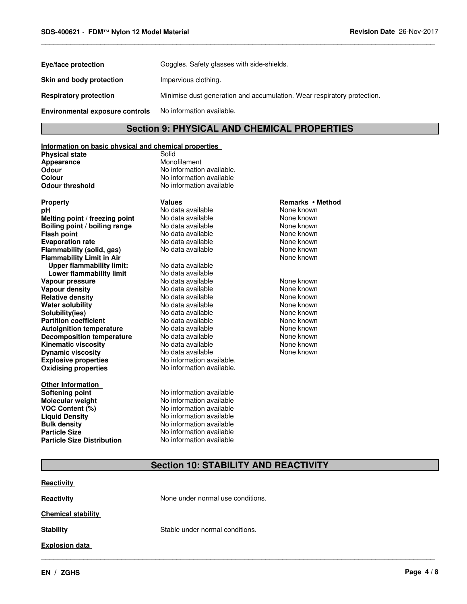| Goggles. Safety glasses with side-shields.                              |
|-------------------------------------------------------------------------|
| Impervious clothing.                                                    |
| Minimise dust generation and accumulation. Wear respiratory protection. |
| No information available.                                               |
|                                                                         |

# **Section 9: PHYSICAL AND CHEMICAL PROPERTIES**

\_\_\_\_\_\_\_\_\_\_\_\_\_\_\_\_\_\_\_\_\_\_\_\_\_\_\_\_\_\_\_\_\_\_\_\_\_\_\_\_\_\_\_\_\_\_\_\_\_\_\_\_\_\_\_\_\_\_\_\_\_\_\_\_\_\_\_\_\_\_\_\_\_\_\_\_\_\_\_\_\_\_\_\_\_\_\_\_\_\_\_\_\_

#### **Information on basic physical and chemical properties**

**Physical state** Solid<br> **Appearance** Solid Monofilament **Appearance**<br>Odour

**Odour** No information available.<br> **Colour** No information available **Colour** No information available<br> **Odour threshold** Mo information available **No information available** 

#### **Explosive properties** No information available. **Oxidising properties** No information available. **Property Remarks • Method Values Values Remarks • Method <b>pH Remarks** • Method **pH Remarks** • Method **pH pH** No data available None known<br> **Melting point / freezing point** No data available None Known None known **Melting point / freezing point** No data available **None known**<br> **Boiling point / boiling range** No data available None known **Boiling point / boiling range** No data available None known<br>
No data available None known<br>
No data available None known **Evaporation rate No data available None known Flammability (solid, gas)** No data available None known **Flammability Limit in Air Communist Communist Communist Communist Communist Communist Communist Communist Communist Communist Communist Communist Communist Communist Communist Communist Communist Communist Communist Com Upper flammability limit:** No data available **Lower flammability limit** No data available<br>**No data available** No data available **Vapour pressure No data available None known Vapour density No data available and the None known**<br> **Relative density No data available None known**<br>
No data available **Relative density 1980 Control and Architecture Control and None Known Water solubility None known**<br>
No data available 1980 None known Water solubility **Water solubility** No data available None known **Solubility(ies) No data available None known**<br> **Partition coefficient No data available None known**<br>
No data available **None known Partition coefficient Autoignition temperature** Mo data available Mone Known<br> **Decomposition temperature** No data available None Known **Decomposition temperature** No data available **None known**<br>
No data available **None known**<br>
None known **Kinematic viscosity**<br> **Community** No data available None known<br>
No data available None known<br>
None known **Dynamic viscosity**

**Other Information Softening point** No information available **Molecular weight** No information available **VOC Content (%)**<br> **Liquid Density**<br>
No information available **Liquid Density No information available**<br> **Bulk density No information available Particle Size**<br> **Particle Size Distribution**<br>
No information available **Particle Size Distribution** 

# No data available<br>No data available

**No information available** 

# **Section 10: STABILITY AND REACTIVITY**

| None under normal use conditions. |  |  |
|-----------------------------------|--|--|
| <b>Chemical stability</b>         |  |  |
| Stable under normal conditions.   |  |  |
|                                   |  |  |
|                                   |  |  |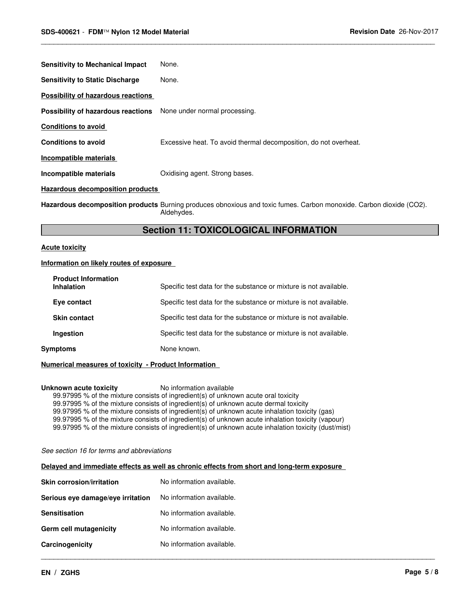| <b>Sensitivity to Mechanical Impact</b>                                 | None.                                                            |
|-------------------------------------------------------------------------|------------------------------------------------------------------|
| <b>Sensitivity to Static Discharge</b>                                  | None.                                                            |
| Possibility of hazardous reactions                                      |                                                                  |
| <b>Possibility of hazardous reactions</b> None under normal processing. |                                                                  |
| <b>Conditions to avoid</b>                                              |                                                                  |
| <b>Conditions to avoid</b>                                              | Excessive heat. To avoid thermal decomposition, do not overheat. |
| Incompatible materials                                                  |                                                                  |
| Incompatible materials                                                  | Oxidising agent. Strong bases.                                   |
| <b>Hazardous decomposition products</b>                                 |                                                                  |

**Hazardous decomposition products** Burning produces obnoxious and toxic fumes. Carbon monoxide. Carbon dioxide (CO2). Aldehydes.

\_\_\_\_\_\_\_\_\_\_\_\_\_\_\_\_\_\_\_\_\_\_\_\_\_\_\_\_\_\_\_\_\_\_\_\_\_\_\_\_\_\_\_\_\_\_\_\_\_\_\_\_\_\_\_\_\_\_\_\_\_\_\_\_\_\_\_\_\_\_\_\_\_\_\_\_\_\_\_\_\_\_\_\_\_\_\_\_\_\_\_\_\_

# **Section 11: TOXICOLOGICAL INFORMATION**

#### **Acute toxicity**

#### **Information on likely routes of exposure**

|          | <b>Product Information</b><br><b>Inhalation</b> | Specific test data for the substance or mixture is not available. |
|----------|-------------------------------------------------|-------------------------------------------------------------------|
|          | Eye contact                                     | Specific test data for the substance or mixture is not available. |
|          | <b>Skin contact</b>                             | Specific test data for the substance or mixture is not available. |
|          | Ingestion                                       | Specific test data for the substance or mixture is not available. |
| Symptoms |                                                 | None known.                                                       |

#### **Numerical measures of toxicity - Product Information**

#### **Unknown acute toxicity** No information available

99.97995 % of the mixture consists of ingredient(s) of unknown acute oral toxicity 99.97995 % of the mixture consists of ingredient(s) of unknown acute dermal toxicity 99.97995 % of the mixture consists of ingredient(s) of unknown acute inhalation toxicity (gas) 99.97995 % of the mixture consists of ingredient(s) of unknown acute inhalation toxicity (vapour) 99.97995 % of the mixture consists of ingredient(s) of unknown acute inhalation toxicity (dust/mist)

*See section 16 for terms and abbreviations*

#### **Delayed and immediate effects as well as chronic effects from short and long-term exposure**

| <b>Skin corrosion/irritation</b>  | No information available. |
|-----------------------------------|---------------------------|
| Serious eye damage/eye irritation | No information available. |
| <b>Sensitisation</b>              | No information available. |
| Germ cell mutagenicity            | No information available. |
| Carcinogenicity                   | No information available. |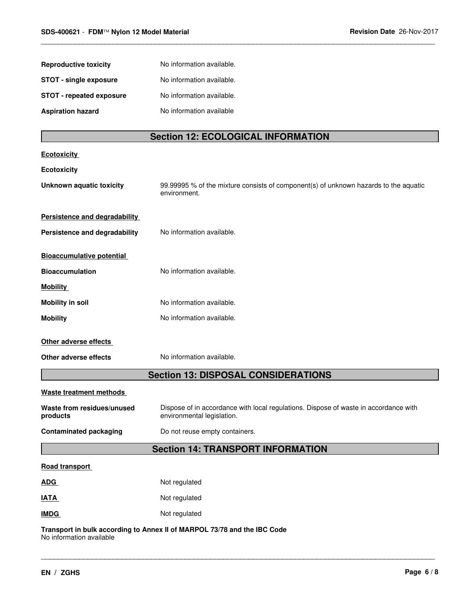| <b>Reproductive toxicity</b>             | No information available.                                                                                          |  |
|------------------------------------------|--------------------------------------------------------------------------------------------------------------------|--|
| <b>STOT - single exposure</b>            | No information available.                                                                                          |  |
| <b>STOT - repeated exposure</b>          | No information available.                                                                                          |  |
| <b>Aspiration hazard</b>                 | No information available                                                                                           |  |
|                                          |                                                                                                                    |  |
|                                          | <b>Section 12: ECOLOGICAL INFORMATION</b>                                                                          |  |
| <b>Ecotoxicity</b>                       |                                                                                                                    |  |
| Ecotoxicity                              |                                                                                                                    |  |
| <b>Unknown aquatic toxicity</b>          | 99.99995 % of the mixture consists of component(s) of unknown hazards to the aquatic<br>environment.               |  |
| Persistence and degradability            |                                                                                                                    |  |
| Persistence and degradability            | No information available.                                                                                          |  |
|                                          |                                                                                                                    |  |
| <b>Bioaccumulative potential</b>         |                                                                                                                    |  |
| <b>Bioaccumulation</b>                   | No information available.                                                                                          |  |
| <b>Mobility</b>                          |                                                                                                                    |  |
| <b>Mobility in soil</b>                  | No information available.                                                                                          |  |
| <b>Mobility</b>                          | No information available.                                                                                          |  |
| Other adverse effects                    |                                                                                                                    |  |
| Other adverse effects                    | No information available.                                                                                          |  |
|                                          | <b>Section 13: DISPOSAL CONSIDERATIONS</b>                                                                         |  |
|                                          |                                                                                                                    |  |
| <b>Waste treatment methods</b>           |                                                                                                                    |  |
| Waste from residues/unused<br>products   | Dispose of in accordance with local regulations. Dispose of waste in accordance with<br>environmental legislation. |  |
| <b>Contaminated packaging</b>            | Do not reuse empty containers.                                                                                     |  |
| <b>Section 14: TRANSPORT INFORMATION</b> |                                                                                                                    |  |
| Road transport                           |                                                                                                                    |  |
| <b>ADG</b>                               | Not regulated                                                                                                      |  |
| <b>IATA</b>                              | Not regulated                                                                                                      |  |
| <b>IMDG</b>                              | Not regulated                                                                                                      |  |
|                                          | Transport in bulk according to Annex II of MARPOL 73/78 and the IBC Code                                           |  |

\_\_\_\_\_\_\_\_\_\_\_\_\_\_\_\_\_\_\_\_\_\_\_\_\_\_\_\_\_\_\_\_\_\_\_\_\_\_\_\_\_\_\_\_\_\_\_\_\_\_\_\_\_\_\_\_\_\_\_\_\_\_\_\_\_\_\_\_\_\_\_\_\_\_\_\_\_\_\_\_\_\_\_\_\_\_\_\_\_\_\_\_\_

\_\_\_\_\_\_\_\_\_\_\_\_\_\_\_\_\_\_\_\_\_\_\_\_\_\_\_\_\_\_\_\_\_\_\_\_\_\_\_\_\_\_\_\_\_\_\_\_\_\_\_\_\_\_\_\_\_\_\_\_\_\_\_\_\_\_\_\_\_\_\_\_\_\_\_\_\_\_\_\_\_\_\_\_\_\_\_\_\_\_\_\_\_

**Transport in bulk according to Annex II of MARPOL 73/78 and the IBC Code** No information available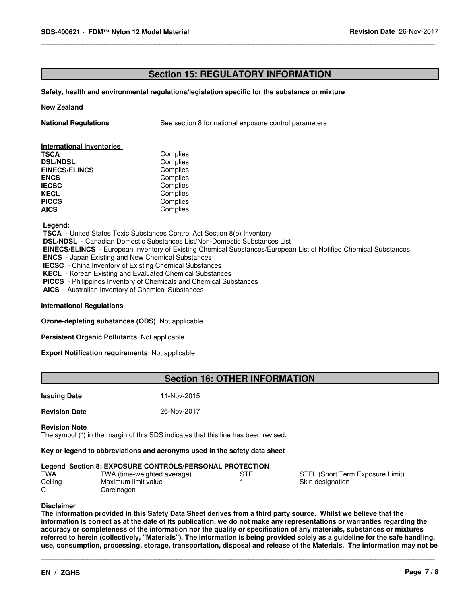# **Section 15: REGULATORY INFORMATION**

\_\_\_\_\_\_\_\_\_\_\_\_\_\_\_\_\_\_\_\_\_\_\_\_\_\_\_\_\_\_\_\_\_\_\_\_\_\_\_\_\_\_\_\_\_\_\_\_\_\_\_\_\_\_\_\_\_\_\_\_\_\_\_\_\_\_\_\_\_\_\_\_\_\_\_\_\_\_\_\_\_\_\_\_\_\_\_\_\_\_\_\_\_

#### **Safety, health and environmental regulations/legislation specific for the substance or mixture**

#### **New Zealand**

**National Regulations** See section 8 for national exposure control parameters

# **International Inventories**

| Complies |
|----------|
| Complies |
| Complies |
| Complies |
| Complies |
| Complies |
| Complies |
| Complies |
|          |

 **Legend:**

 **TSCA** - United States Toxic Substances Control Act Section 8(b) Inventory

 **DSL/NDSL** - Canadian Domestic Substances List/Non-Domestic Substances List

 **EINECS/ELINCS** - European Inventory of Existing Chemical Substances/European List of Notified Chemical Substances

 **ENCS** - Japan Existing and New Chemical Substances

 **IECSC** - China Inventory of Existing Chemical Substances

 **KECL** - Korean Existing and Evaluated Chemical Substances

 **PICCS** - Philippines Inventory of Chemicals and Chemical Substances

 **AICS** - Australian Inventory of Chemical Substances

#### **International Regulations**

**Ozone-depleting substances (ODS)** Not applicable

**Persistent Organic Pollutants** Not applicable

#### **Export Notification requirements** Not applicable

## **Section 16: OTHER INFORMATION**

### **Issuing Date** 11-Nov-2015

**Revision Date** 26-Nov-2017

**Revision Note**

The symbol (\*) in the margin of this SDS indicates that this line has been revised.

#### **Key or legend to abbreviations and acronyms used in the safety data sheet**

|         | Legend Section 8: EXPOSURE CONTROLS/PERSONAL PROTECTION |      |                                  |
|---------|---------------------------------------------------------|------|----------------------------------|
| TWA     | TWA (time-weighted average)                             | STEL | STEL (Short Term Exposure Limit) |
| Ceiling | Maximum limit value                                     |      | Skin designation                 |
| ⌒       | Carcinogen                                              |      |                                  |

#### **Disclaimer**

**The information provided in this Safety Data Sheet derives from a third party source. Whilst we believe that the information is correct as at the date of its publication, we do not make any representations or warranties regarding the accuracy or completeness of the information nor the quality or specification of any materials, substances or mixtures referred to herein (collectively, "Materials"). The information is being provided solely as a guideline for the safe handling, use, consumption, processing, storage, transportation, disposal and release of the Materials. The information may not be**